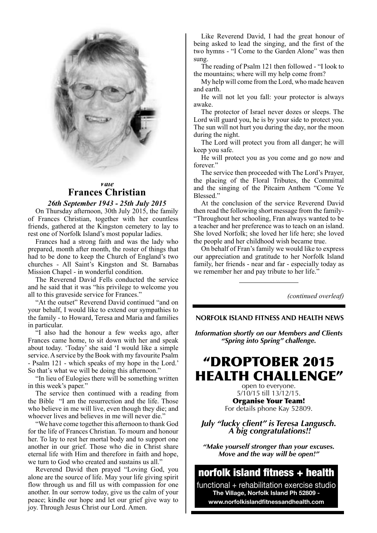

### *Vale* **Frances Christian**

### *26th September 1943 - 25th July 2015*

On Thursday afternoon, 30th July 2015, the family of Frances Christian, together with her countless friends, gathered at the Kingston cemetery to lay to rest one of Norfolk Island's most popular ladies.

Frances had a strong faith and was the lady who prepared, month after month, the roster of things that had to be done to keep the Church of England's two churches - All Saint's Kingston and St. Barnabas Mission Chapel - in wonderful condition.

The Reverend David Fells conducted the service and he said that it was "his privilege to welcome you all to this graveside service for Frances."

"At the outset" Reverend David continued "and on your behalf, I would like to extend our sympathies to the family - to Howard, Teresa and Maria and families in particular.

"I also had the honour a few weeks ago, after Frances came home, to sit down with her and speak about today. 'Today' she said 'I would like a simple service. A service by the Book with my favourite Psalm - Psalm 121 - which speaks of my hope in the Lord.' So that's what we will be doing this afternoon."

"In lieu of Eulogies there will be something written in this week's paper."

The service then continued with a reading from the Bible "I am the resurrection and the life. Those who believe in me will live, even though they die; and whoever lives and believes in me will never die."

"We have come together this afternoon to thank God for the life of Frances Christian. To mourn and honour her. To lay to rest her mortal body and to support one another in our grief. Those who die in Christ share eternal life with Him and therefore in faith and hope, we turn to God who created and sustains us all."

Reverend David then prayed "Loving God, you alone are the source of life. May your life giving spirit flow through us and fill us with compassion for one another. In our sorrow today, give us the calm of your peace; kindle our hope and let our grief give way to joy. Through Jesus Christ our Lord. Amen.

Like Reverend David, I had the great honour of being asked to lead the singing, and the first of the two hymns - "I Come to the Garden Alone" was then sung.

The reading of Psalm 121 then followed - "I look to the mountains; where will my help come from?

My help will come from the Lord, who made heaven and earth.

He will not let you fall: your protector is always awake.

The protector of Israel never dozes or sleeps. The Lord will guard you, he is by your side to protect you. The sun will not hurt you during the day, nor the moon during the night.

The Lord will protect you from all danger; he will keep you safe.

He will protect you as you come and go now and forever."

The service then proceeded with The Lord's Prayer, the placing of the Floral Tributes, the Committal and the singing of the Pitcairn Anthem "Come Ye Blessed."

At the conclusion of the service Reverend David then read the following short message from the family- "Throughout her schooling, Fran always wanted to be a teacher and her preference was to teach on an island. She loved Norfolk; she loved her life here; she loved the people and her childhood wish became true.

On behalf of Fran's family we would like to express our appreciation and gratitude to her Norfolk Island family, her friends - near and far - especially today as we remember her and pay tribute to her life."

*(continued overleaf)*

 **NORFOLK ISLAND FITNESS AND HEALTH NEWS**

*Information shortly on our Members and Clients "Spring into Spring" challenge.*

# "DROPTOBER 2015 HEALTH CHALLENGE"

open to everyone. 5/10/15 till 13/12/15. Organise Your Team! For details phone Kay 52809.

*July "lucky client" is Teresa Langusch. A big congratulations!!*

*"Make yourself stronger than your excuses. Move and the way will be open!"*

## norfolk island fitness + health

functional + rehabilitation exercise studio **The Village, Norfolk Island Ph 52809 www.norfolkislandfitnessandhealth.com**